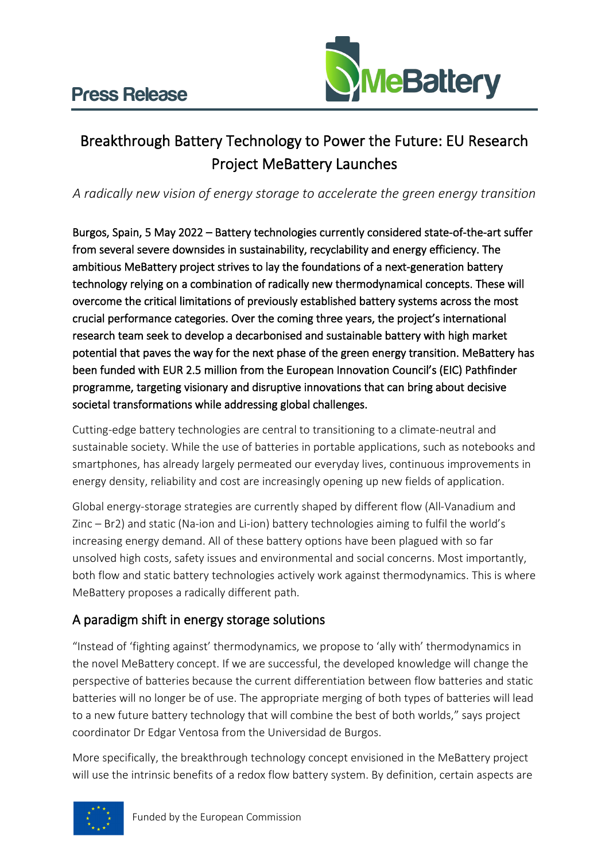

## Breakthrough Battery Technology to Power the Future: EU Research Project MeBattery Launches

### *A radically new vision of energy storage to accelerate the green energy transition*

Burgos, Spain, 5 May 2022 – Battery technologies currently considered state-of-the-art suffer from several severe downsides in sustainability, recyclability and energy efficiency. The ambitious MeBattery project strives to lay the foundations of a next-generation battery technology relying on a combination of radically new thermodynamical concepts. These will overcome the critical limitations of previously established battery systems across the most crucial performance categories. Over the coming three years, the project's international research team seek to develop a decarbonised and sustainable battery with high market potential that paves the way for the next phase of the green energy transition. MeBattery has been funded with EUR 2.5 million from the European Innovation Council's (EIC) Pathfinder programme, targeting visionary and disruptive innovations that can bring about decisive societal transformations while addressing global challenges.

Cutting-edge battery technologies are central to transitioning to a climate-neutral and sustainable society. While the use of batteries in portable applications, such as notebooks and smartphones, has already largely permeated our everyday lives, continuous improvements in energy density, reliability and cost are increasingly opening up new fields of application.

Global energy-storage strategies are currently shaped by different flow (All-Vanadium and Zinc – Br2) and static (Na-ion and Li-ion) battery technologies aiming to fulfil the world's increasing energy demand. All of these battery options have been plagued with so far unsolved high costs, safety issues and environmental and social concerns. Most importantly, both flow and static battery technologies actively work against thermodynamics. This is where MeBattery proposes a radically different path.

## A paradigm shift in energy storage solutions

"Instead of 'fighting against' thermodynamics, we propose to 'ally with' thermodynamics in the novel MeBattery concept. If we are successful, the developed knowledge will change the perspective of batteries because the current differentiation between flow batteries and static batteries will no longer be of use. The appropriate merging of both types of batteries will lead to a new future battery technology that will combine the best of both worlds," says project coordinator Dr Edgar Ventosa from the Universidad de Burgos.

More specifically, the breakthrough technology concept envisioned in the MeBattery project will use the intrinsic benefits of a redox flow battery system. By definition, certain aspects are

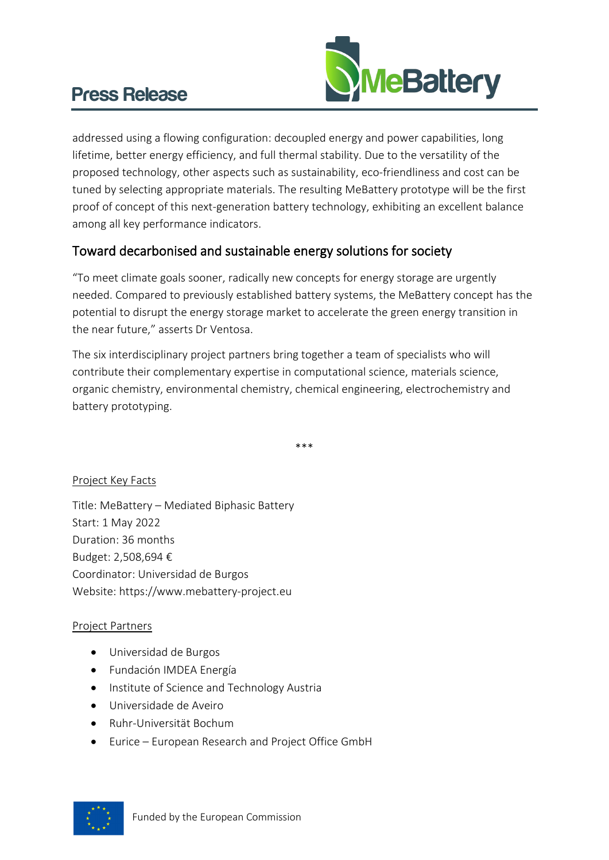# Press Release



addressed using a flowing configuration: decoupled energy and power capabilities, long lifetime, better energy efficiency, and full thermal stability. Due to the versatility of the proposed technology, other aspects such as sustainability, eco-friendliness and cost can be tuned by selecting appropriate materials. The resulting MeBattery prototype will be the first proof of concept of this next-generation battery technology, exhibiting an excellent balance among all key performance indicators.

### Toward decarbonised and sustainable energy solutions for society

"To meet climate goals sooner, radically new concepts for energy storage are urgently needed. Compared to previously established battery systems, the MeBattery concept has the potential to disrupt the energy storage market to accelerate the green energy transition in the near future," asserts Dr Ventosa.

The six interdisciplinary project partners bring together a team of specialists who will contribute their complementary expertise in computational science, materials science, organic chemistry, environmental chemistry, chemical engineering, electrochemistry and battery prototyping.

\*\*\*

#### Project Key Facts

Title: MeBattery – Mediated Biphasic Battery Start: 1 May 2022 Duration: 36 months Budget: 2,508,694 € Coordinator: Universidad de Burgos Website: https://www.mebattery-project.eu

#### Project Partners

- Universidad de Burgos
- Fundación IMDEA Energía
- Institute of Science and Technology Austria
- Universidade de Aveiro
- Ruhr-Universität Bochum
- Eurice European Research and Project Office GmbH